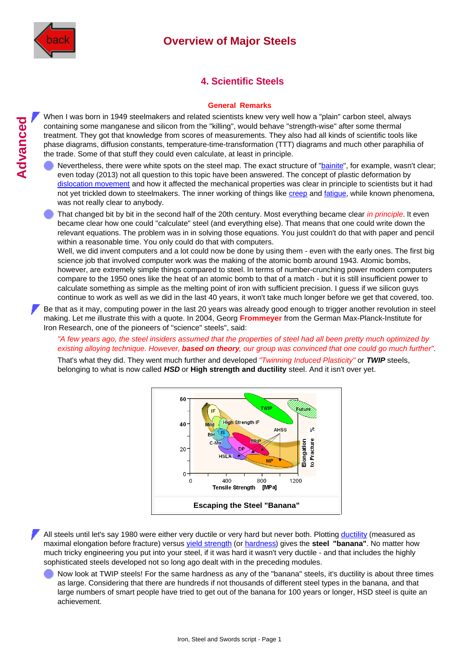



# **4. Scientific Steels**

## **General Remarks**

When I was born in 1949 steelmakers and related scientists knew very well how a "plain" carbon steel, always containing some manganese and silicon from the "killing", would behave "strength-wise" after some thermal treatment. They got that knowledge from scores of measurements. They also had all kinds of scientific tools like phase diagrams, diffusion constants, temperature-time-transformation (TTT) diagrams and much other paraphilia of the trade. Some of that stuff they could even calculate, at least in principle.

Nevertheless, there were white spots on the steel map. The exact structure of ["bainite](http://www.tf.uni-kiel.de/matwis/amat/iss_dec_15_2021/kap_8/illustr/s8_4_1.html)", for example, wasn't clear; even today (2013) not all question to this topic have been answered. The concept of plastic deformation by [dislocation movement](http://www.tf.uni-kiel.de/matwis/amat/iss_dec_15_2021/kap_5/backbone/r5_4_2.html) and how it affected the mechanical properties was clear in principle to scientists but it had not yet trickled down to steelmakers. The inner working of things like [creep](http://www.tf.uni-kiel.de/matwis/amat/iss_dec_15_2021/kap_9/advanced/a9_1_1.html) and [fatigue,](http://www.tf.uni-kiel.de/matwis/amat/iss_dec_15_2021/kap_9/advanced/a9_1_2.html) while known phenomena, was not really clear to anybody.

That changed bit by bit in the second half of the 20th century. Most everything became clear *in principle*. It even became clear how one could "calculate" steel (and everything else). That means that one could write down the relevant equations. The problem was in in solving those equations. You just couldn't do that with paper and pencil within a reasonable time. You only could do that with computers. Well, we did invent computers and a lot could now be done by using them - even with the early ones. The first big

science job that involved computer work was the making of the atomic bomb around 1943. Atomic bombs, however, are extremely simple things compared to steel. In terms of number-crunching power modern computers compare to the 1950 ones like the heat of an atomic bomb to that of a match - but it is still insufficient power to calculate something as simple as the melting point of iron with sufficient precision. I guess if we silicon guys continue to work as well as we did in the last 40 years, it won't take much longer before we get that covered, too.

Be that as it may, computing power in the last 20 years was already good enough to trigger another revolution in steel making. Let me illustrate this with a quote. In 2004, Georg **Frommeyer** from the German Max-Planck-Institute for Iron Research, one of the pioneers of "science" steels", said:

*"A few years ago, the steel insiders assumed that the properties of steel had all been pretty much optimized by existing alloying technique. However, based on theory, our group was convinced that one could go much further"*.

<span id="page-0-0"></span>That's what they did. They went much further and developed *"Twinning Induced Plasticity"* or *TWIP* steels, belonging to what is now called *HSD* or **High strength and ductility** steel. And it isn't over yet.



All steels until let's say 1980 were either very ductile or very hard but never both. Plotting [ductility](http://www.tf.uni-kiel.de/matwis/amat/iss_dec_15_2021/kap_3/backbone/r3_1_4.html#ductility; definition) (measured as maximal elongation before fracture) versus [yield strength](http://www.tf.uni-kiel.de/matwis/amat/iss_dec_15_2021/kap_3/backbone/r3_1_4.html#yield strength) (or [hardness](http://www.tf.uni-kiel.de/matwis/amat/iss_dec_15_2021/kap_3/backbone/r3_3_1.html#hardness and yield stress)) gives the **steel "banana"**. No matter how much tricky engineering you put into your steel, if it was hard it wasn't very ductile - and that includes the highly sophisticated steels developed not so long ago dealt with in the preceding modules.

Now look at TWIP steels! For the same hardness as any of the "banana" steels, it's ductility is about three times as large. Considering that there are hundreds if not thousands of different steel types in the banana, and that large numbers of smart people have tried to get out of the banana for 100 years or longer, HSD steel is quite an achievement.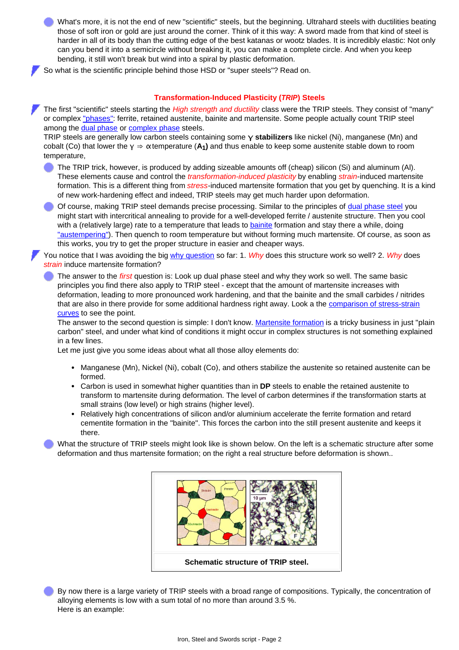What's more, it is not the end of new "scientific" steels, but the beginning. Ultrahard steels with ductilities beating those of soft iron or gold are just around the corner. Think of it this way: A sword made from that kind of steel is harder in all of its body than the cutting edge of the best katanas or wootz blades. It is incredibly elastic: Not only can you bend it into a semicircle without breaking it, you can make a complete circle. And when you keep bending, it still won't break but wind into a spiral by plastic deformation.

So what is the scientific principle behind those HSD or "super steels"? Read on.

## **Transformation-Induced Plasticity (***TRIP***) Steels**

The first "scientific" steels starting the *High strength and ductility* class were the TRIP steels. They consist of "many" or complex ["phases":](http://www.tf.uni-kiel.de/matwis/amat/iss_dec_15_2021/kap_9/advanced/t9_2_1b.html#_3) ferrite, retained austenite, bainite and martensite. Some people actually count TRIP steel among the **dual phase** or **complex phase** steels.

TRIP steels are generally low carbon steels containing some **γ stabilizers** like nickel (Ni), manganese (Mn) and cobalt (Co) that lower the **γ ⇒ α** temperature (**A1)** and thus enable to keep some austenite stable down to room temperature,

The TRIP trick, however, is produced by adding sizeable amounts off (cheap) silicon (Si) and aluminum (Al). These elements cause and control the *transformation-induced plasticity* by enabling *strain*-induced martensite formation. This is a different thing from *stress*-induced martensite formation that you get by quenching. It is a kind of new work-hardening effect and indeed, TRIP steels may get much harder upon deformation.

Of course, making TRIP steel demands precise processing. Similar to the principles of [dual phase steel](http://www.tf.uni-kiel.de/matwis/amat/iss_dec_15_2021/kap_9/advanced/t9_2_1b.html#dual phase steel) you might start with intercritical annealing to provide for a well-developed ferrite / austenite structure. Then you cool with a (relatively large) rate to a temperature that leads to [bainite](http://www.tf.uni-kiel.de/matwis/amat/iss_dec_15_2021/kap_8/illustr/s8_4_1.html) formation and stay there a while, doing ["austempering"\)](http://www.tf.uni-kiel.de/matwis/amat/iss_dec_15_2021/kap_8/illustr/s8_4_3c.html). Then quench to room temperature but without forming much martensite. Of course, as soon as this works, you try to get the proper structure in easier and cheaper ways.

You notice that I was avoiding the big [why question](http://www.tf.uni-kiel.de/matwis/amat/iss_dec_15_2021/kap_1/backbone/r1_1_2.html#why questions) so far: 1. *Why* does this structure work so well? 2. *Why* does *strain* induce martensite formation?

The answer to the *first* question is: Look up dual phase steel and why they work so well. The same basic principles you find there also apply to TRIP steel - except that the amount of martensite increases with deformation, leading to more pronounced work hardening, and that the bainite and the small carbides / nitrides that are also in there provide for some additional hardness right away. Look a the [comparison of stress-strain](http://www.tf.uni-kiel.de/matwis/amat/iss_dec_15_2021/kap_9/advanced/a9_2_2.html#_5) [curves](http://www.tf.uni-kiel.de/matwis/amat/iss_dec_15_2021/kap_9/advanced/a9_2_2.html#_5) to see the point.

The answer to the second question is simple: I don't know. [Martensite formation](http://www.tf.uni-kiel.de/matwis/amat/iss_dec_15_2021/kap_8/backbone/r8_4_1.html) is a tricky business in just "plain carbon" steel, and under what kind of conditions it might occur in complex structures is not something explained in a few lines.

Let me just give you some ideas about what all those alloy elements do:

- Manganese (Mn), Nickel (Ni), cobalt (Co), and others stabilize the austenite so retained austenite can be formed.
- Carbon is used in somewhat higher quantities than in **DP** steels to enable the retained austenite to transform to martensite during deformation. The level of carbon determines if the transformation starts at small strains (low level) or high strains (higher level).
- Relatively high concentrations of silicon and/or aluminium accelerate the ferrite formation and retard cementite formation in the "bainite". This forces the carbon into the still present austenite and keeps it there.

What the structure of TRIP steels might look like is shown below. On the left is a schematic structure after some deformation and thus martensite formation; on the right a real structure before deformation is shown..



By now there is a large variety of TRIP steels with a broad range of compositions. Typically, the concentration of alloying elements is low with a sum total of no more than around 3.5 %. Here is an example: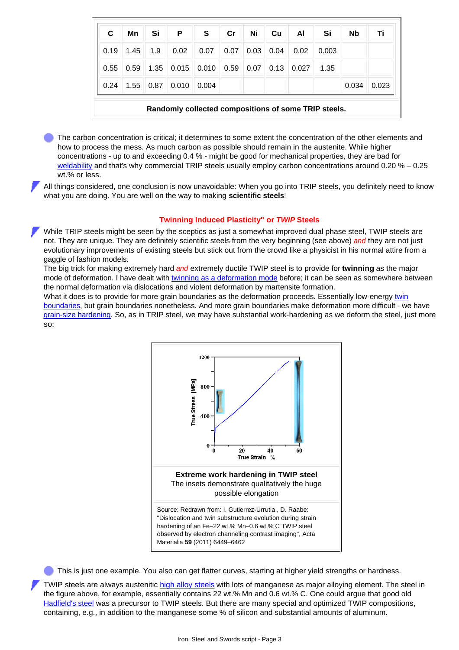| C                                                    | Mn   | Si   | P     | S     | Cr   | Ni   | Cu   | Al    | Si    | <b>Nb</b> | Τi    |  |
|------------------------------------------------------|------|------|-------|-------|------|------|------|-------|-------|-----------|-------|--|
| 0.19                                                 | 1.45 | 1.9  | 0.02  | 0.07  | 0.07 | 0.03 | 0.04 | 0.02  | 0.003 |           |       |  |
| 0.55                                                 | 0.59 | 1.35 | 0.015 | 0.010 | 0.59 | 0.07 | 0.13 | 0.027 | 1.35  |           |       |  |
| 0.24                                                 | 1.55 | 0.87 | 0.010 | 0.004 |      |      |      |       |       | 0.034     | 0.023 |  |
| Randomly collected compositions of some TRIP steels. |      |      |       |       |      |      |      |       |       |           |       |  |

The carbon concentration is critical; it determines to some extent the concentration of the other elements and how to process the mess. As much carbon as possible should remain in the austenite. While higher concentrations - up to and exceeding 0.4 % - might be good for mechanical properties, they are bad for [weldability](http://www.tf.uni-kiel.de/matwis/amat/iss_dec_15_2021/kap_9/illustr/s9_2_2.html) and that's why commercial TRIP steels usually employ carbon concentrations around 0.20 % – 0.25 wt.% or less.

All things considered, one conclusion is now unavoidable: When you go into TRIP steels, you definitely need to know what you are doing. You are well on the way to making **scientific steels**!

## **Twinning Induced Plasticity" or** *TWIP* **Steels**

While TRIP steels might be seen by the sceptics as just a somewhat improved dual phase steel, TWIP steels are not. They are unique. They are definitely scientific steels from the very beginning (see above) *and* they are not just evolutionary improvements of existing steels but stick out from the crowd like a physicist in his normal attire from a gaggle of fashion models.

The big trick for making extremely hard *and* extremely ductile TWIP steel is to provide for **twinning** as the major mode of deformation. I have dealt with [twinning as a deformation mode](http://www.tf.uni-kiel.de/matwis/amat/iss_dec_15_2021/kap_5/illustr/s5_4_3.html) before; it can be seen as somewhere between the normal deformation via dislocations and violent deformation by martensite formation.

What it does is to provide for more grain boundaries as the deformation proceeds. Essentially low-energy [twin](http://www.tf.uni-kiel.de/matwis/amat/iss_dec_15_2021/kap_5/advanced/a5_3_1.html#twin boundary) [boundaries,](http://www.tf.uni-kiel.de/matwis/amat/iss_dec_15_2021/kap_5/advanced/a5_3_1.html#twin boundary) but grain boundaries nonetheless. And more grain boundaries make deformation more difficult - we have [grain-size hardening.](http://www.tf.uni-kiel.de/matwis/amat/iss_dec_15_2021/kap_8/backbone/r8_3_2.html) So, as in TRIP steel, we may have substantial work-hardening as we deform the steel, just more so:



This is just one example. You also can get flatter curves, starting at higher yield strengths or hardness.

TWIP steels are always austenitic [high alloy steels](http://www.tf.uni-kiel.de/matwis/amat/iss_dec_15_2021/kap_9/advanced/t9_2_1a.html#high alloy steels) with lots of manganese as major alloying element. The steel in the figure above, for example, essentially contains 22 wt.% Mn and 0.6 wt.% C. One could argue that good old [Hadfield's steel](http://www.tf.uni-kiel.de/matwis/amat/iss_dec_15_2021/kap_9/advanced/t9_2_1b.html#hadfield) was a precursor to TWIP steels. But there are many special and optimized TWIP compositions, containing, e.g., in addition to the manganese some % of silicon and substantial amounts of aluminum.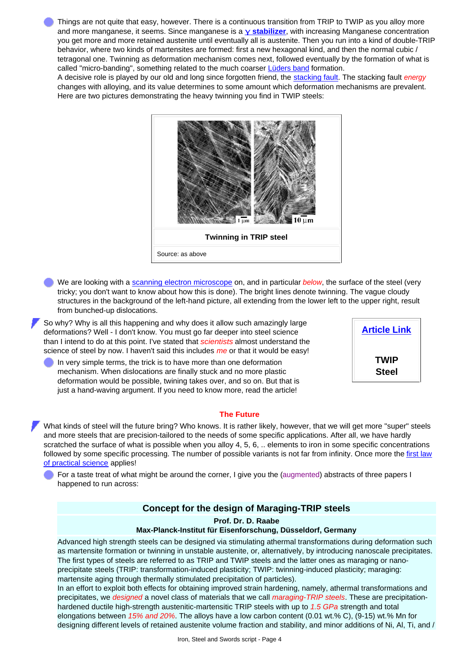Things are not quite that easy, however. There is a continuous transition from TRIP to TWIP as you alloy more and more manganese, it seems. Since manganese is a **γ [stabilizer](http://www.tf.uni-kiel.de/matwis/amat/iss_dec_15_2021/kap_9/illustr/s9_2_1.html#gamma stabilizer)**, with increasing Manganese concentration you get more and more retained austenite until eventually all is austenite. Then you run into a kind of double-TRIP behavior, where two kinds of martensites are formed: first a new hexagonal kind, and then the normal cubic / tetragonal one. Twinning as deformation mechanism comes next, followed eventually by the formation of what is called "micro-banding", something related to the much coarser [Lüders band](http://www.tf.uni-kiel.de/matwis/amat/iss_dec_15_2021/kap_9/advanced/a9_2_2.html) formation.

A decisive role is played by our old and long since forgotten friend, the [stacking fault](http://www.tf.uni-kiel.de/matwis/amat/iss_dec_15_2021/kap_5/backbone/r5_3_3.html). The stacking fault *energy* changes with alloying, and its value determines to some amount which deformation mechanisms are prevalent. Here are two pictures demonstrating the heavy twinning you find in TWIP steels:



We are looking with a [scanning electron microscope](http://www.tf.uni-kiel.de/matwis/amat/iss_dec_15_2021/kap_4/illustr/s4_1_1b.html) on, and in particular *below*, the surface of the steel (very tricky; you don't want to know about how this is done). The bright lines denote twinning. The vague cloudy structures in the background of the left-hand picture, all extending from the lower left to the upper right, result from bunched-up dislocations.

So why? Why is all this happening and why does it allow such amazingly large deformations? Well - I don't know. You must go far deeper into steel science than I intend to do at this point. I've stated that *scientists* almost understand the science of steel by now. I haven't said this includes *me* or that it would be easy!

In very simple terms, the trick is to have more than one deformation mechanism. When dislocations are finally stuck and no more plastic deformation would be possible, twining takes over, and so on. But that is just a hand-waving argument. If you need to know more, read the article!



#### **The Future**

What kinds of steel will the future bring? Who knows. It is rather likely, however, that we will get more "super" steels and more steels that are precision-tailored to the needs of some specific applications. After all, we have hardly scratched the surface of what is possible when you alloy 4, 5, 6, .. elements to iron in some specific concentrations followed by some specific processing. The number of possible variants is not far from infinity. Once more the [first law](http://www.tf.uni-kiel.de/matwis/amat/iss_dec_15_2021/kap_8/backbone/r8_2_3.html#first law of applied science) [of practical science](http://www.tf.uni-kiel.de/matwis/amat/iss_dec_15_2021/kap_8/backbone/r8_2_3.html#first law of applied science) applies!

For a taste treat of what might be around the corner, I give you the (augmented) abstracts of three papers I happened to run across:

# **Concept for the design of Maraging-TRIP steels**

**Prof. Dr. D. Raabe**

## **Max-Planck-Institut für Eisenforschung, Düsseldorf, Germany**

Advanced high strength steels can be designed via stimulating athermal transformations during deformation such as martensite formation or twinning in unstable austenite, or, alternatively, by introducing nanoscale precipitates. The first types of steels are referred to as TRIP and TWIP steels and the latter ones as maraging or nanoprecipitate steels (TRIP: transformation-induced plasticity; TWIP: twinning-induced plasticity; maraging: martensite aging through thermally stimulated precipitation of particles).

In an effort to exploit both effects for obtaining improved strain hardening, namely, athermal transformations and precipitates, we *designed* a novel class of materials that we call *maraging-TRIP steels*. These are precipitationhardened ductile high-strength austenitic-martensitic TRIP steels with up to *1.5 GPa* strength and total elongations between *15% and 20%*. The alloys have a low carbon content (0.01 wt.% C), (9-15) wt.% Mn for designing different levels of retained austenite volume fraction and stability, and minor additions of Ni, Al, Ti, and /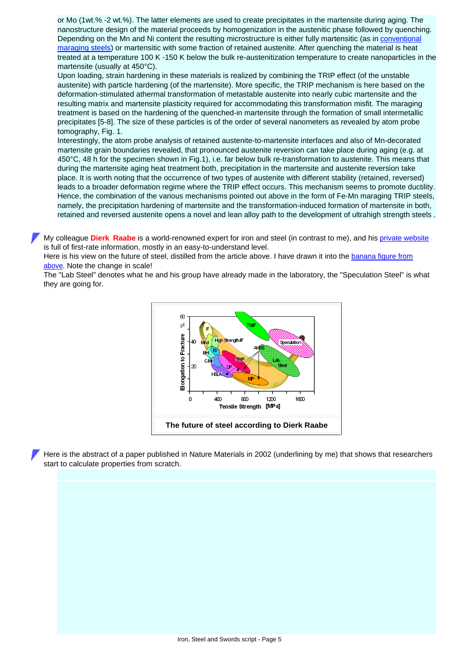or Mo (1wt.% -2 wt.%). The latter elements are used to create precipitates in the martensite during aging. The nanostructure design of the material proceeds by homogenization in the austenitic phase followed by quenching. Depending on the Mn and Ni content the resulting microstructure is either fully martensitic (as in [conventional](http://www.tf.uni-kiel.de/matwis/amat/iss_dec_15_2021/kap_9/backbone/r9_3_2.html) [maraging steels\)](http://www.tf.uni-kiel.de/matwis/amat/iss_dec_15_2021/kap_9/backbone/r9_3_2.html) or martensitic with some fraction of retained austenite. After quenching the material is heat treated at a temperature 100 K -150 K below the bulk re-austenitization temperature to create nanoparticles in the martensite (usually at 450°C).

Upon loading, strain hardening in these materials is realized by combining the TRIP effect (of the unstable austenite) with particle hardening (of the martensite). More specific, the TRIP mechanism is here based on the deformation-stimulated athermal transformation of metastable austenite into nearly cubic martensite and the resulting matrix and martensite plasticity required for accommodating this transformation misfit. The maraging treatment is based on the hardening of the quenched-in martensite through the formation of small intermetallic precipitates [5-8]. The size of these particles is of the order of several nanometers as revealed by atom probe tomography, Fig. 1.

Interestingly, the atom probe analysis of retained austenite-to-martensite interfaces and also of Mn-decorated martensite grain boundaries revealed, that pronounced austenite reversion can take place during aging (e.g. at 450°C, 48 h for the specimen shown in Fig.1), i.e. far below bulk re-transformation to austenite. This means that during the martensite aging heat treatment both, precipitation in the martensite and austenite reversion take place. It is worth noting that the occurrence of two types of austenite with different stability (retained, reversed) leads to a broader deformation regime where the TRIP effect occurs. This mechanism seems to promote ductility. Hence, the combination of the various mechanisms pointed out above in the form of Fe-Mn maraging TRIP steels, namely, the precipitation hardening of martensite and the transformation-induced formation of martensite in both, retained and reversed austenite opens a novel and lean alloy path to the development of ultrahigh strength steels .

My colleague **Dierk Raabe** is a world-renowned expert for iron and steel (in contrast to me), and his [private website](http://www.tf.uni-kiel.de/matwis/amat/iss_dec_15_2021/kap_1/illustr/s1_1_2.html#lit. net; d. raabe website) is full of first-rate information, mostly in an easy-to-understand level.

Here is his view on the future of steel, distilled from the article above. I have drawn it into the [banana figure from](#page-0-0) [above](#page-0-0). Note the change in scale!

The "Lab Steel" denotes what he and his group have already made in the laboratory, the "Speculation Steel" is what they are going for.



Here is the abstract of a paper published in Nature Materials in 2002 (underlining by me) that shows that researchers start to calculate properties from scratch.